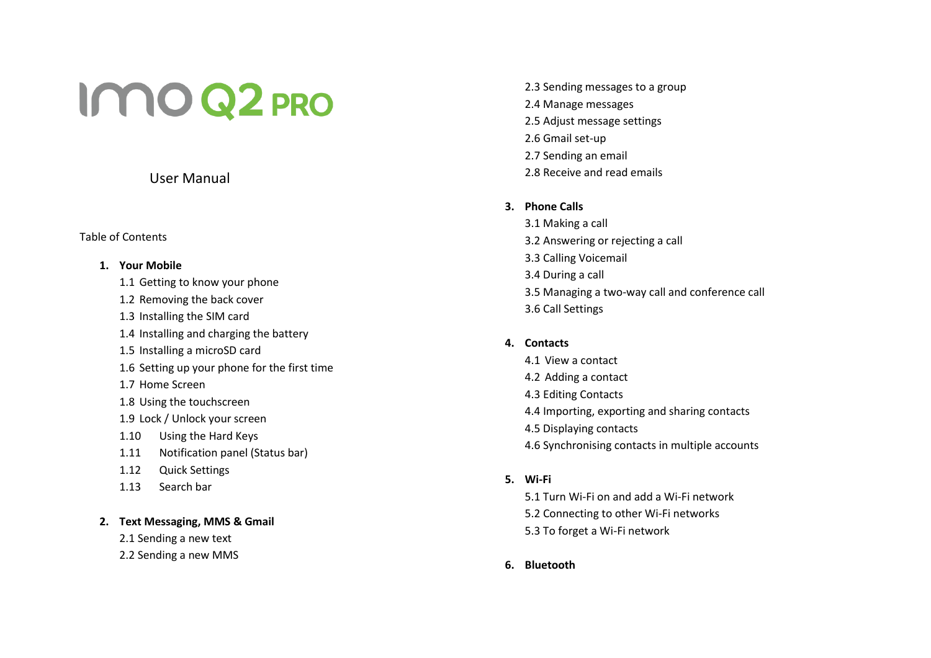# IMO Q2 PRO

# User Manual

# Table of Contents

# **1. Your Mobile**

- 1.1 Getting to know your phone
- 1.2 Removing the back cover
- 1.3 Installing the SIM card
- 1.4 Installing and charging the battery
- 1.5 Installing a microSD card
- 1.6 Setting up your phone for the first time
- 1.7 Home Screen
- 1.8 Using the touchscreen
- 1.9 Lock / Unlock your screen
- 1.10 Using the Hard Keys
- 1.11 Notification panel (Status bar)
- 1.12 Quick Settings
- 1.13 Search bar

# **2. Text Messaging, MMS & Gmail**

- 2.1 Sending a new text
- 2.2 Sending a new MMS

2.3 Sending messages to a group 2.4 Manage messages 2.5 Adjust message settings 2.6 Gmail set -up 2.7 Sending an email 2.8 Receive and read emails

# **3. Phone Calls**

3.1 Making a call 3.2 Answering or rejecting a call 3.3 Calling Voicemail 3.4 During a call 3.5 Managing a two -way call and conference call 3.6 Call Settings

# **4. Contacts**

- 4.1 View a contact 4.2 Adding a contact 4.3 Editing Contacts 4.4 Importing, exporting and sharing contacts
- 4.5 Displaying contacts
- 4.6 Synchronising contacts in multiple accounts

# **5. Wi -Fi**

- 5.1 Turn Wi -Fi on and add a Wi -Fi network
- 5.2 Connecting to other Wi -Fi networks
- 5.3 To forget a Wi -Fi network
- **6. Bluetooth**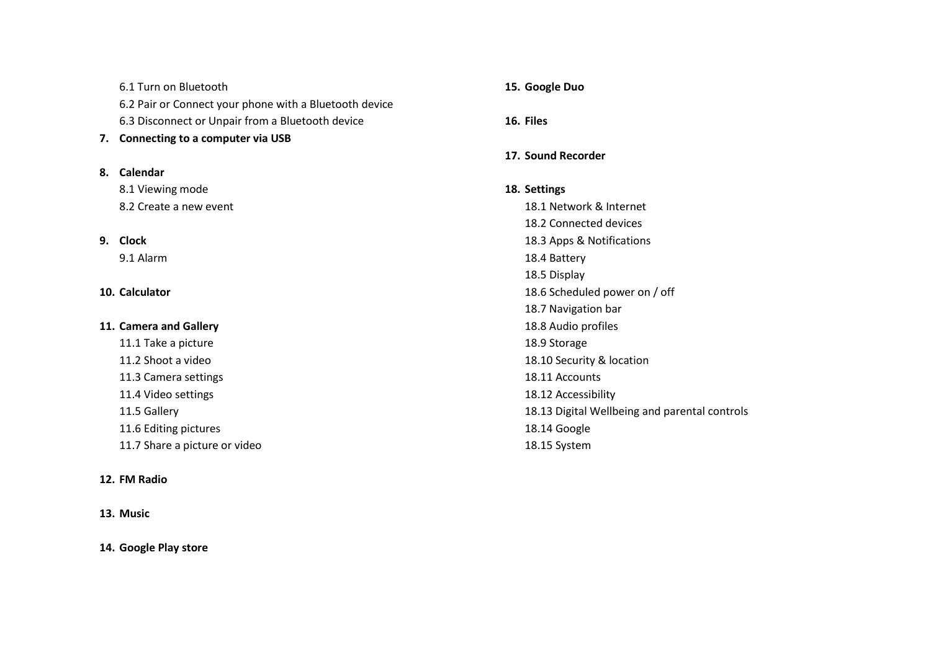6.1 Turn on Bluetooth 6.2 Pair or Connect your phone with a Bluetooth device 6.3 Disconnect or Unpair from a Bluetooth device **7. Connecting to a computer via USB** 

## **8. Calendar**

8.1 Viewing mode 8.2 Create a new event

## **9. Clock**

9.1 Alarm

#### **10. Calculator**

#### **11. Camera and Gallery**

11.1 Take a picture 11.2 Shoot a video 11.3 Camera settings 11.4 Video settings 11.5 Gallery 11.6 Editing pictures 11.7 Share a picture or video

#### **12. FM Radio**

#### **13. Music**

#### **14. Google Play store**

**15. Google Duo**

**16. Files**

## **17. Sound Recorder**

# **18. Settings**

18.1 Network & Internet 18.2 Connected devices 18.3 Apps & Notifications 18.4 Battery 18.5 Display 18.6 Scheduled power on / off 18.7 Navigation bar 18.8 Audio profiles 18.9 Storage 18.10 Security & location 18.11 Accounts 18.12 Accessibility 18.13 Digital Wellbeing and parental controls 18.14 Google 18.15 System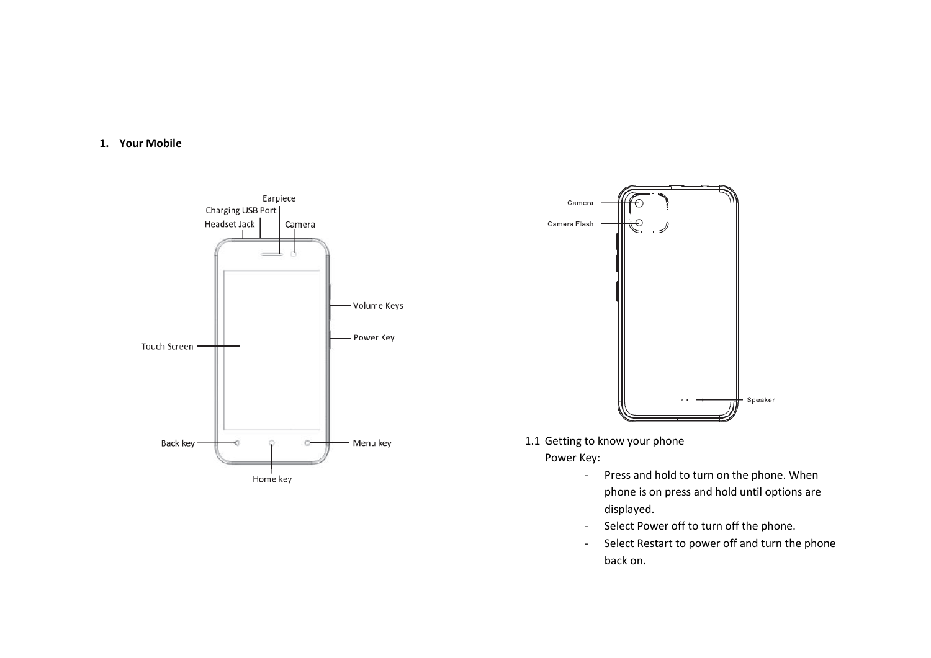**1. Your Mobile**





1.1 Getting to know your phone

Power Key:

- Press and hold to turn on the phone. When phone is on press and hold until options are displayed.
- Select Power off to turn off the phone.
- Select Restart to power off and turn the phone back on.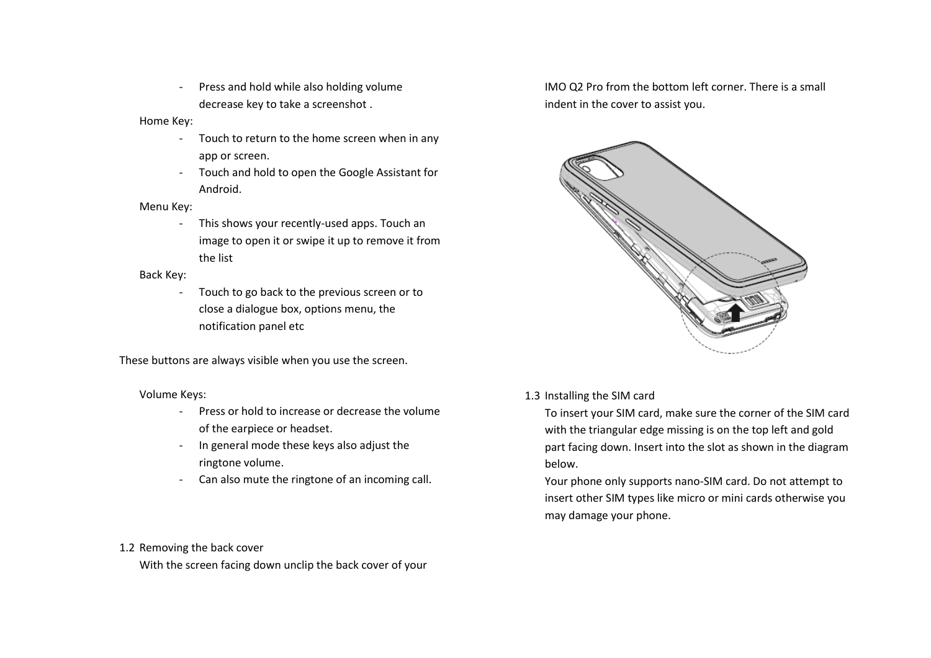- Press and hold while also holding volume decrease key to take a screenshot .

Home Key:

- Touch to return to the home screen when in any app or screen.
- Touch and hold to open the Google Assistant for Android.

Menu Key:

- This shows your recently-used apps. Touch an image to open it or swipe it up to remove it from the list

Back Key:

- Touch to go back to the previous screen or to close a dialogue box, options menu, the notification panel etc

These buttons are always visible when you use the screen.

Volume Keys:

- Press or hold to increase or decrease the volume of the earpiece or headset.
- In general mode these keys also adjust the ringtone volume.
- Can also mute the ringtone of an incoming call.

IMO Q2 Pro from the bottom left corner. There is a small indent in the cover to assist you.



1.3 Installing the SIM card

To insert your SIM card, make sure the corner of the SIM card with the triangular edge missing is on the top left and gold part facing down. Insert into the slot as shown in the diagram below.

Your phone only supports nano-SIM card. Do not attempt to insert other SIM types like micro or mini cards otherwise you may damage your phone.

1.2 Removing the back cover

With the screen facing down unclip the back cover of your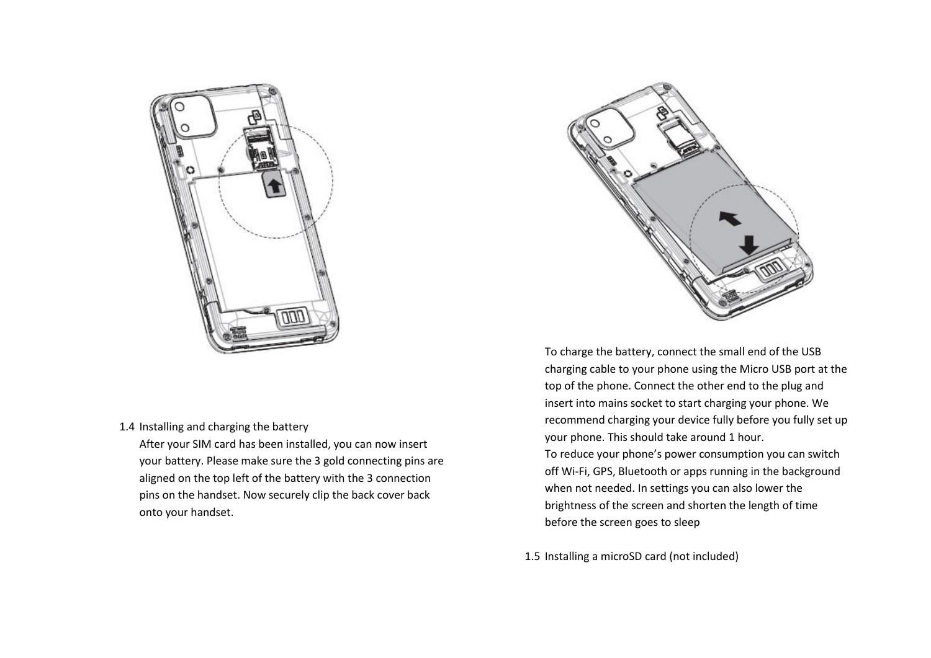

1.4 Installing and charging the battery

After your SIM card has been installed, you can now insert your battery. Please make sure the 3 gold connecting pins are aligned on the top left of the battery with the 3 connection pins on the handset. Now securely clip the back cover back onto your handset.



To charge the battery, connect the small end of the USB charging cable to your phone using the Micro USB port at the top of the phone. Connect the other end to the plug and insert into mains socket to start charging your phone. We recommend charging your device fully before you fully set up your phone. This should take around 1 hour.

To reduce your phone's power consumption you can switch off Wi-Fi, GPS, Bluetooth or apps running in the background when not needed. In settings you can also lower the brightness of the screen and shorten the length of time before the screen goes to sleep

1.5 Installing a microSD card (not included)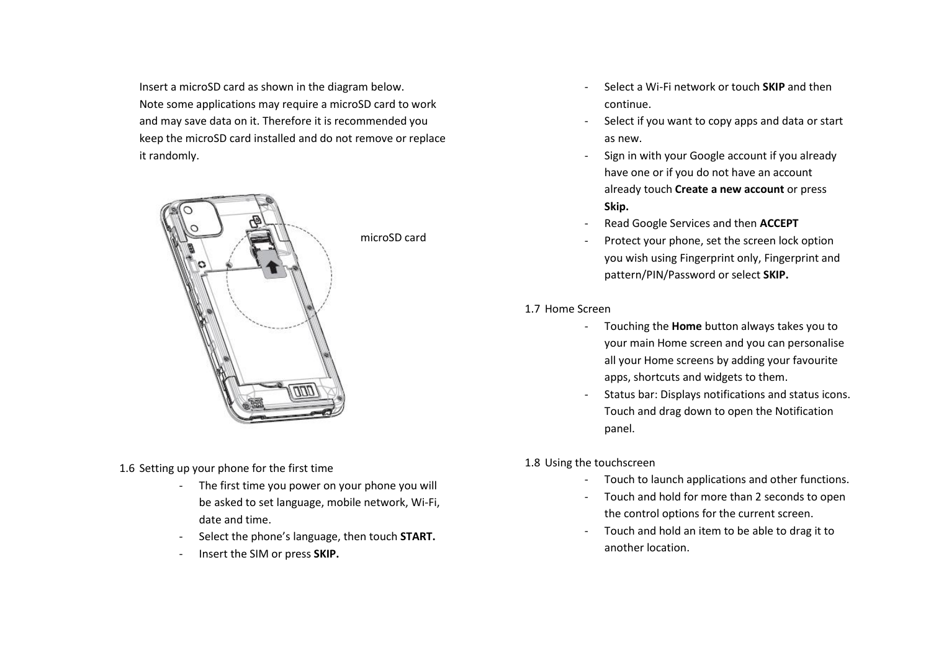Insert a microSD card as shown in the diagram below. Note some applications may require a microSD card to work and may save data on it. Therefore it is recommended you keep the microSD card installed and do not remove or replace it randomly.



- 1.6 Setting up your phone for the first time
	- The first time you power on your phone you will be asked to set language, mobile network, Wi-Fi, date and time.
	- Select the phone's language, then touch **START.**
	- Insert the SIM or press **SKIP.**
- Select a Wi-Fi network or touch **SKIP** and then continue.
- Select if you want to copy apps and data or start as new.
- Sign in with your Google account if you already have one or if you do not have an account already touch **Create a new account** or press **Skip.**
- Read Google Services and then **ACCEPT**
- Protect your phone, set the screen lock option you wish using Fingerprint only, Fingerprint and pattern/PIN/Password or select **SKIP.**

1.7 Home Screen

- Touching the **Home** button always takes you to your main Home screen and you can personalise all your Home screens by adding your favourite apps, shortcuts and widgets to them.
- Status bar: Displays notifications and status icons. Touch and drag down to open the Notification panel.
- 1.8 Using the touchscreen
	- Touch to launch applications and other functions.
	- Touch and hold for more than 2 seconds to open the control options for the current screen.
	- Touch and hold an item to be able to drag it to another location.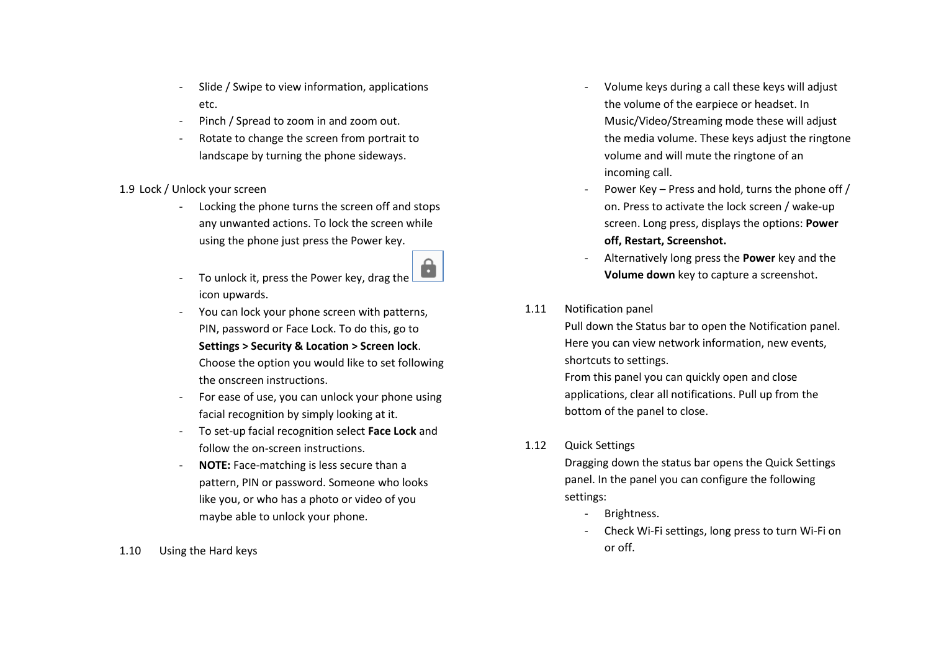- Slide / Swipe to view information, applications etc.
- Pinch / Spread to zoom in and zoom out.
- Rotate to change the screen from portrait to landscape by turning the phone sideways.

# 1.9 Lock / Unlock your screen

- Locking the phone turns the screen off and stops any unwanted actions. To lock the screen while using the phone just press the Power key.
- O - To unlock it, press the Power key, drag the icon upwards.
- You can lock your phone screen with patterns, PIN, password or Face Lock. To do this, go to **Settings > Security & Location > Screen lock**. Choose the option you would like to set following the onscreen instructions.
- For ease of use, you can unlock your phone using facial recognition by simply looking at it.
- To set-up facial recognition select **Face Lock** and follow the on-screen instructions.
- **NOTE:** Face-matching is less secure than a pattern, PIN or password. Someone who looks like you, or who has a photo or video of you maybe able to unlock your phone.
- 1.10 Using the Hard keys
- Volume keys during a call these keys will adjust the volume of the earpiece or headset. In Music/Video/Streaming mode these will adjust the media volume. These keys adjust the ringtone volume and will mute the ringtone of an incoming call.
- Power Key Press and hold, turns the phone off / on. Press to activate the lock screen / wake-up screen. Long press, displays the options: **Power off, Restart, Screenshot.**
- Alternatively long press the **Power** key and the **Volume down** key to capture a screenshot.

# 1.11 Notification panel

Pull down the Status bar to open the Notification panel. Here you can view network information, new events, shortcuts to settings.

From this panel you can quickly open and close applications, clear all notifications. Pull up from the bottom of the panel to close.

1.12 Quick Settings

Dragging down the status bar opens the Quick Settings panel. In the panel you can configure the following settings:

- Brightness.
- Check Wi-Fi settings, long press to turn Wi-Fi on or off.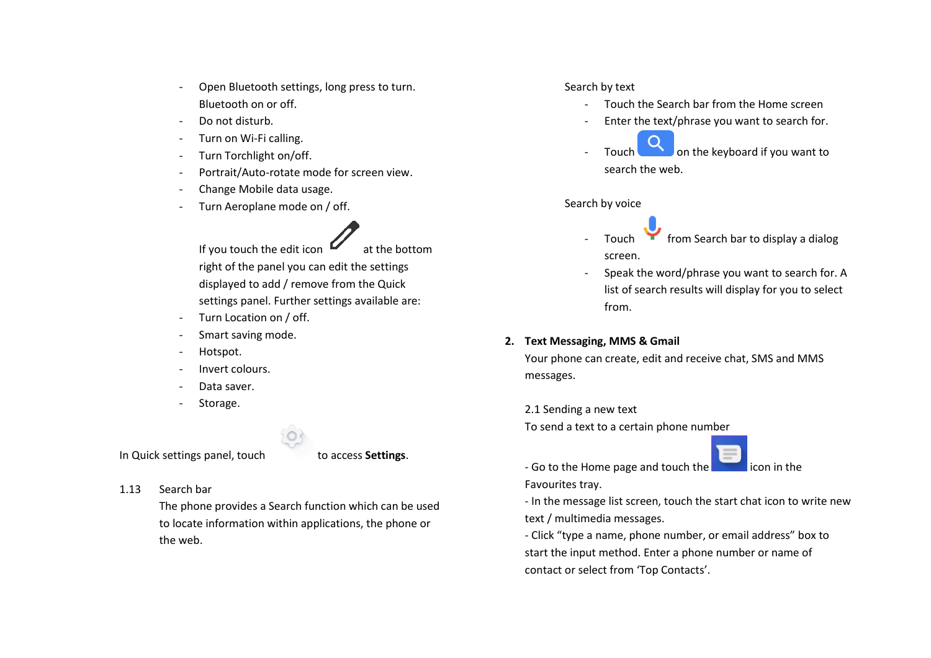- Open Bluetooth settings, long press to turn. Bluetooth on or off.
- Do not disturb.
- Turn on Wi-Fi calling.
- Turn Torchlight on/off.
- Portrait/Auto-rotate mode for screen view.
- Change Mobile data usage.
- Turn Aeroplane mode on / off.
	- If you touch the edit icon  $\mathbf{I}$  at the bottom right of the panel you can edit the settings displayed to add / remove from the Quick settings panel. Further settings available are:
- Turn Location on / off.
- Smart saving mode.
- Hotspot.
- Invert colours.
- Data saver.
- Storage.

In Quick settings panel, touch to access **Settings**.

1.13 Search bar

The phone provides a Search function which can be used to locate information within applications, the phone or the web.

# Search by text

- Touch the Search bar from the Home screen
- Enter the text/phrase you want to search for.
- Touch on the keyboard if you want to search the web.

## Search by voice

- Touch from Search bar to display a dialog screen.
- Speak the word/phrase you want to search for. A list of search results will display for you to select from.

# **2. Text Messaging, MMS & Gmail**

Your phone can create, edit and receive chat, SMS and MMS messages.

2.1 Sending a new text

To send a text to a certain phone number

- Go to the Home page and touch the Favourites tray.

- In the message list screen, touch the start chat icon to write new text / multimedia messages.

- Click "type a name, phone number, or email address" box to start the input method. Enter a phone number or name of contact or select from 'Top Contacts'.

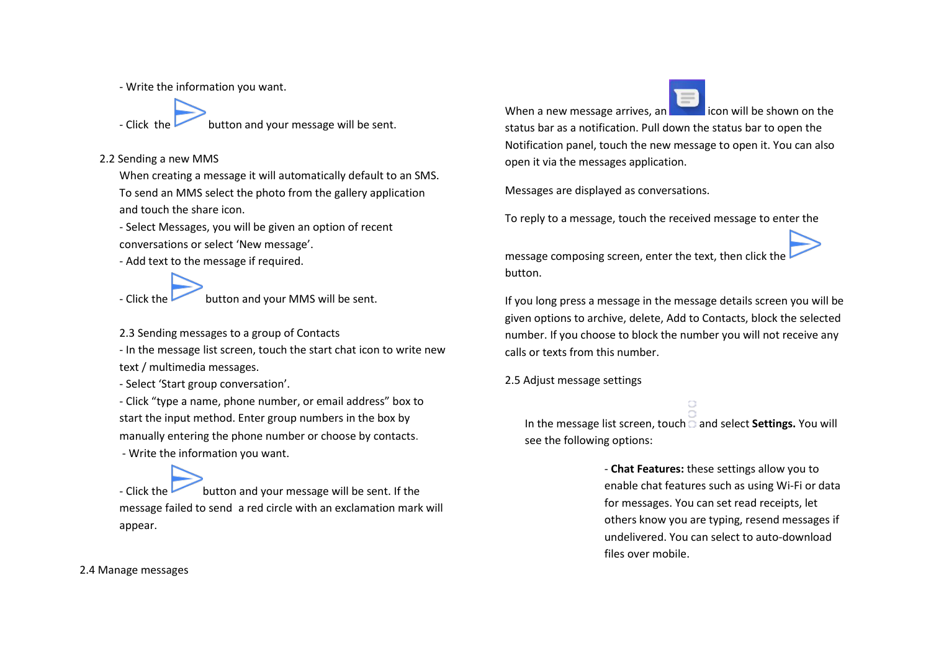- Write the information you want.

- Click the **button** and your message will be sent.

2.2 Sending a new MMS

When creating a message it will automatically default to an SMS. To send an MMS select the photo from the gallery application and touch the share icon.

- Select Messages, you will be given an option of recent conversations or select 'New message'.

- Add text to the message if required.

- Click the **button** and your MMS will be sent.

2.3 Sending messages to a group of Contacts

- In the message list screen, touch the start chat icon to write new text / multimedia messages.

- Select 'Start group conversation'.

- Click "type a name, phone number, or email address" box to start the input method. Enter group numbers in the box by manually entering the phone number or choose by contacts. - Write the information you want.

- Click the **button and your message will be sent.** If the message failed to send a red circle with an exclamation mark will appear.

When a new message arrives, an  $\Box$  icon will be shown on the

status bar as a notification. Pull down the status bar to open the Notification panel, touch the new message to open it. You can also open it via the messages application.

Messages are displayed as conversations.

To reply to a message, touch the received message to enter the

message composing screen, enter the text, then click the button.

If you long press a message in the message details screen you will be given options to archive, delete, Add to Contacts, block the selected number. If you choose to block the number you will not receive any calls or texts from this number.

2.5 Adjust message settings

In the message list screen, touch and select **Settings.** You will see the following options:

> - **Chat Features:** these settings allow you to enable chat features such as using Wi-Fi or data for messages. You can set read receipts, let others know you are typing, resend messages if undelivered. You can select to auto-download files over mobile.

2.4 Manage messages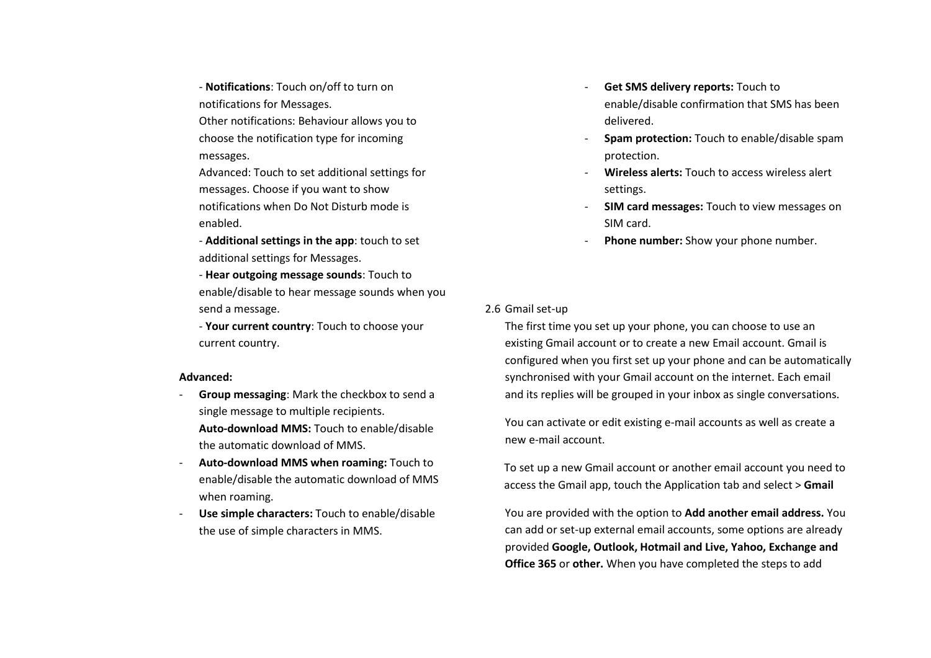- **Notifications**: Touch on/off to turn on notifications for Messages.

Other notifications: Behaviour allows you to choose the notification type for incoming messages.

Advanced: Touch to set additional settings for messages. Choose if you want to show notifications when Do Not Disturb mode is enabled.

- **Additional settings in the app**: touch to set additional settings for Messages.

- **Hear outgoing message sounds**: Touch to enable/disable to hear message sounds when you send a message.

- **Your current country**: Touch to choose your current country.

#### **Advanced:**

- **Group messaging**: Mark the checkbox to send a single message to multiple recipients. **Auto-download MMS:** Touch to enable/disable the automatic download of MMS.
- **Auto-download MMS when roaming:** Touch to enable/disable the automatic download of MMS when roaming.
- **Use simple characters:** Touch to enable/disable the use of simple characters in MMS.
- Get SMS delivery reports: Touch to enable/disable confirmation that SMS has been delivered.
- **Spam protection:** Touch to enable/disable spam protection.
- **Wireless alerts:** Touch to access wireless alert settings.
- **SIM card messages:** Touch to view messages on SIM card.
- **Phone number:** Show your phone number.

## 2.6 Gmail set-up

The first time you set up your phone, you can choose to use an existing Gmail account or to create a new Email account. Gmail is configured when you first set up your phone and can be automatically synchronised with your Gmail account on the internet. Each email and its replies will be grouped in your inbox as single conversations.

You can activate or edit existing e-mail accounts as well as create a new e-mail account.

To set up a new Gmail account or another email account you need to access the Gmail app, touch the Application tab and select > **Gmail**

You are provided with the option to **Add another email address.** You can add or set-up external email accounts, some options are already provided **Google, Outlook, Hotmail and Live, Yahoo, Exchange and Office 365** or **other.** When you have completed the steps to add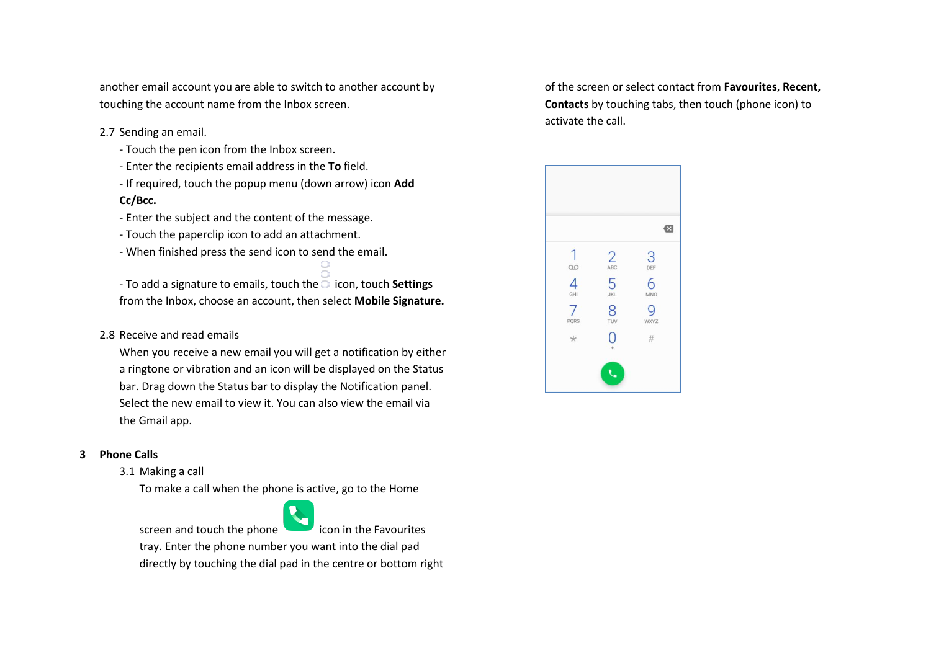another email account you are able to switch to another account by touching the account name from the Inbox screen.

- 2.7 Sending an email.
	- Touch the pen icon from the Inbox screen.
	- Enter the recipients email address in the **To** field.
	- If required, touch the popup menu (down arrow) icon **Add**

# **Cc/Bcc.**

- Enter the subject and the content of the message.
- Touch the paperclip icon to add an attachment.
- When finished press the send icon to send the email.

- To add a signature to emails, touch the  $\overline{\circ}$  icon, touch **Settings** from the Inbox, choose an account, then select **Mobile Signature.**

2.8 Receive and read emails

When you receive a new email you will get a notification by either a ringtone or vibration and an icon will be displayed on the Status bar. Drag down the Status bar to display the Notification panel. Select the new email to view it. You can also view the email via the Gmail app.

# **3 Phone Calls**

3.1 Making a call

To make a call when the phone is active, go to the Home



screen and touch the phone  $\Box$  icon in the Favourites

tray. Enter the phone number you want into the dial pad directly by touching the dial pad in the centre or bottom right

of the screen or select contact from **Favourites**, **Recent, Contacts** by touching tabs, then touch (phone icon) to activate the call.

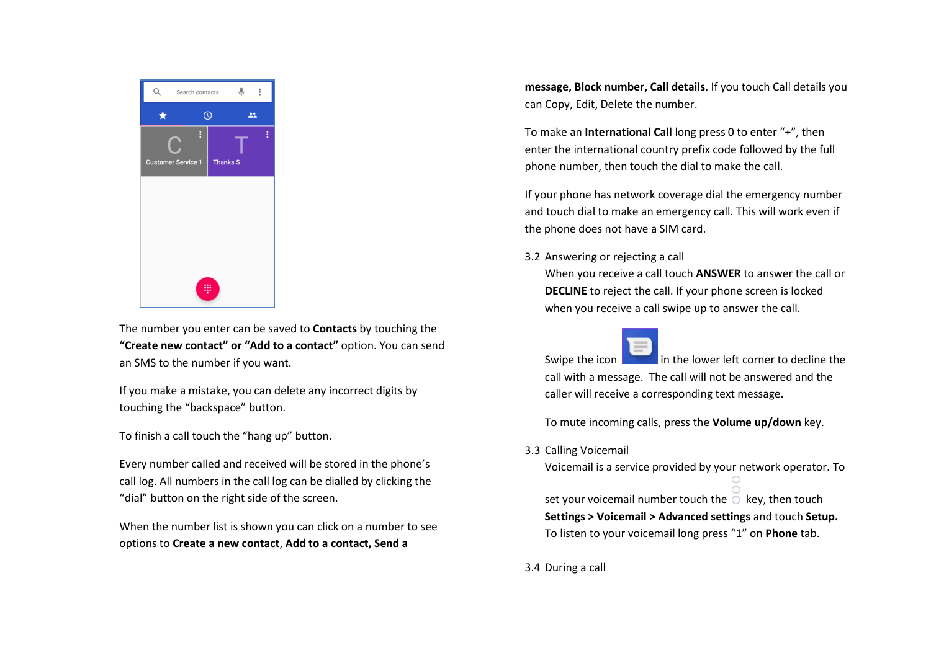

The number you enter can be saved to **Contacts** by touching the **"Create new contact" or "Add to a contact"** option. You can send an SMS to the number if you want.

If you make a mistake, you can delete any incorrect digits by touching the "backspace" button.

To finish a call touch the "hang up" button.

Every number called and received will be stored in the phone's call log. All numbers in the call log can be dialled by clicking the "dial" button on the right side of the screen.

When the number list is shown you can click on a number to see options to **Create a new contact**, **Add to a contact, Send a** 

**message, Block number, Call details**. If you touch Call details you can Copy, Edit, Delete the number.

To make an **International Call** long press 0 to enter "+", then enter the international country prefix code followed by the full phone number, then touch the dial to make the call.

If your phone has network coverage dial the emergency number and touch dial to make an emergency call. This will work even if the phone does not have a SIM card.

3.2 Answering or rejecting a call

When you receive a call touch **ANSWER** to answer the call or **DECLINE** to reject the call. If your phone screen is locked when you receive a call swipe up to answer the call.

Swipe the icon in the lower left corner to decline the call with a message. The call will not be answered and the caller will receive a corresponding text message.

To mute incoming calls, press the **Volume up/down** key.

3.3 Calling Voicemail

Voicemail is a service provided by your network operator. To

set your voicemail number touch the  $\overline{\Box}$  key, then touch **Settings > Voicemail > Advanced settings** and touch **Setup.**  To listen to your voicemail long press "1" on **Phone** tab.

3.4 During a call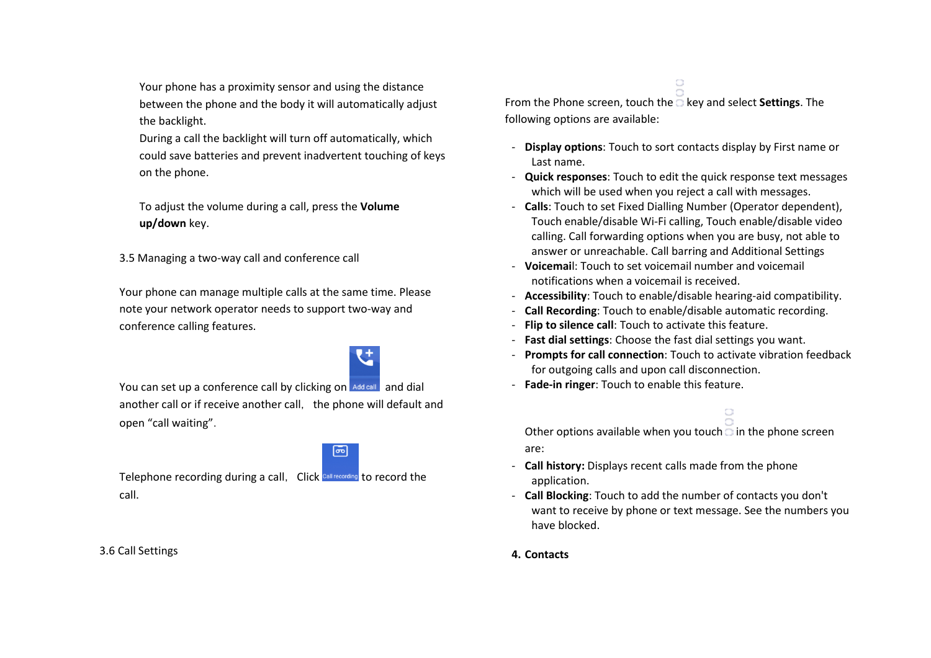Your phone has a proximity sensor and using the distance between the phone and the body it will automatically adjust the backlight.

During a call the backlight will turn off automatically, which could save batteries and prevent inadvertent touching of keys on the phone.

To adjust the volume during a call, press the **Volume up/down** key.

3.5 Managing a two-way call and conference call

Your phone can manage multiple calls at the same time. Please note your network operator needs to support two-way and conference calling features.

You can set up a conference call by clicking on Add call and dial another call or if receive another call, the phone will default and open "call waiting".

Telephone recording during a call, Click Call recording to record the call.

3.6 Call Settings

From the Phone screen, touch the key and select **Settings**. The following options are available:

- **Display options**: Touch to sort contacts display by First name or Last name.

 $\bigcirc$ 

- **Quick responses**: Touch to edit the quick response text messages which will be used when you reject a call with messages.
- **Calls**: Touch to set Fixed Dialling Number (Operator dependent), Touch enable/disable Wi-Fi calling, Touch enable/disable video calling. Call forwarding options when you are busy, not able to answer or unreachable. Call barring and Additional Settings
- **Voicemai**l: Touch to set voicemail number and voicemail notifications when a voicemail is received.
- **Accessibility**: Touch to enable/disable hearing-aid compatibility.
- **Call Recording**: Touch to enable/disable automatic recording.
- **Flip to silence call**: Touch to activate this feature.
- **Fast dial settings**: Choose the fast dial settings you want.
- **Prompts for call connection**: Touch to activate vibration feedback for outgoing calls and upon call disconnection.
- **Fade-in ringer**: Touch to enable this feature.

Other options available when you touch  $\overline{a}$  in the phone screen are:

- **Call history:** Displays recent calls made from the phone application.
- **Call Blocking**: Touch to add the number of contacts you don't want to receive by phone or text message. See the numbers you have blocked.
- **4. Contacts**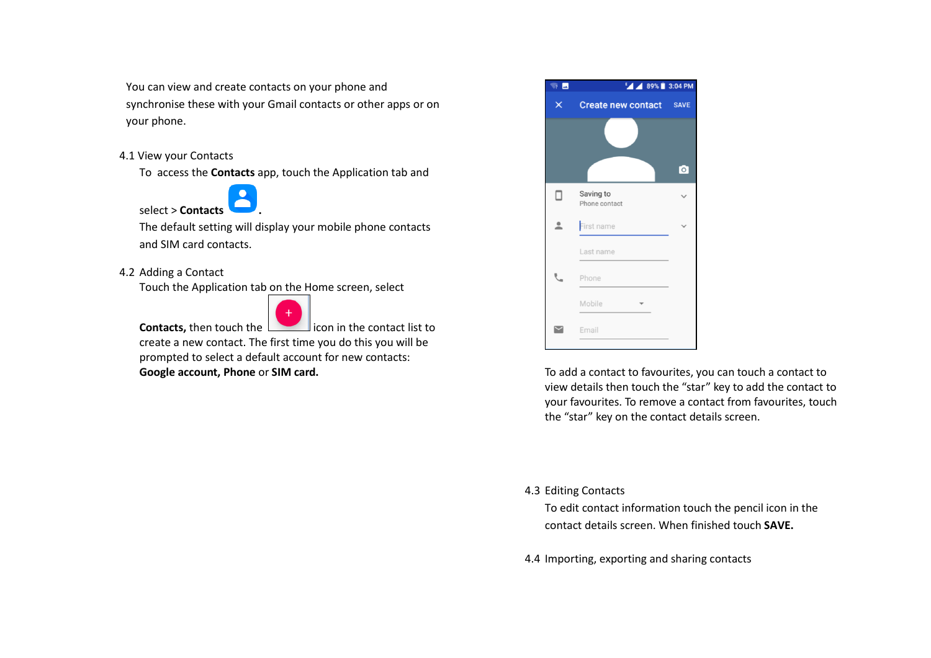You can view and create contacts on your phone and synchronise these with your Gmail contacts or other apps or on your phone.

# 4.1 View your Contacts

To access the **Contacts** app, touch the Application tab and

select > **Contacts .** 

The default setting will display your mobile phone contacts and SIM card contacts.

# 4.2 Adding a Contact

Touch the Application tab on the Home screen, select



**Contacts, then touch the intermal icon in the contact list to** create a new contact. The first time you do this you will be prompted to select a default account for new contacts: **Google account, Phone** or **SIM card. To add a contact to favourites, you can touch a contact to favourites, you can touch a contact to favourites, you can touch a contact to** 

| $\overline{2}$ $\overline{2}$ | <b>EA 4 89%</b> 3:04 PM    |                      |  |
|-------------------------------|----------------------------|----------------------|--|
| x                             | <b>Create new contact</b>  | <b>SAVE</b>          |  |
|                               |                            |                      |  |
|                               |                            | $\overline{\bullet}$ |  |
| □                             | Saving to<br>Phone contact |                      |  |
| ≗                             | First name                 |                      |  |
|                               | Last name                  |                      |  |
|                               | Phone                      |                      |  |
|                               | Mobile                     |                      |  |
|                               | Email                      |                      |  |
|                               |                            |                      |  |

view details then touch the "star" key to add the contact to your favourites. To remove a contact from favourites, touch the "star" key on the contact details screen.

# 4.3 Editing Contacts

To edit contact information touch the pencil icon in the contact details screen. When finished touch **SAVE.**

4.4 Importing, exporting and sharing contacts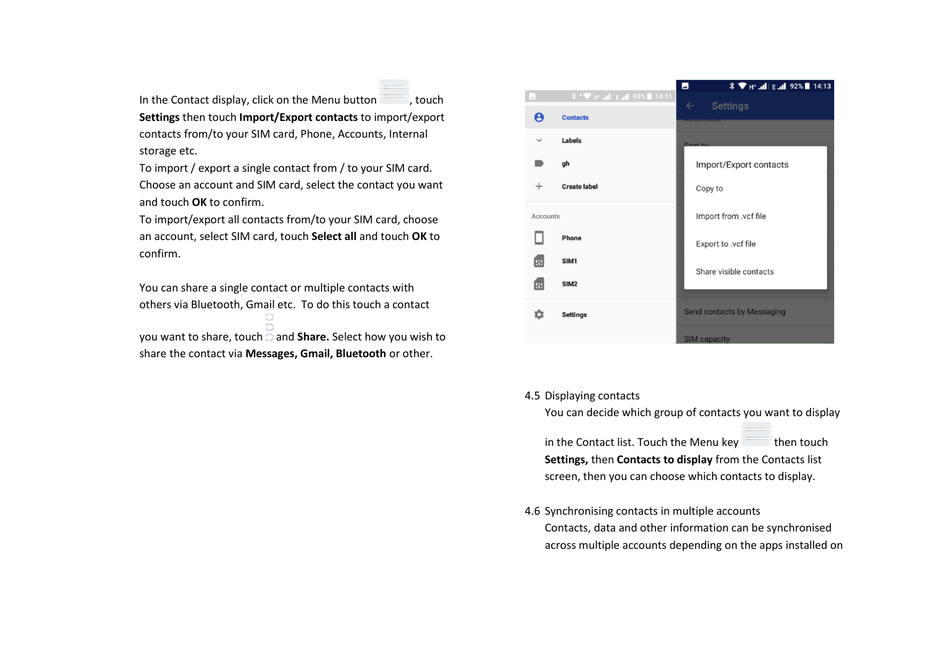In the Contact display, click on the Menu button , touch **Settings** then touch **Import/Export contacts** to import/export contacts from/to your SIM card, Phone, Accounts, Internal storage etc.

To import / export a single contact from / to your SIM card. Choose an account and SIM card, select the contact you want and touch **OK** to confirm.

To import/export all contacts from/to your SIM card, choose an account, select SIM card, touch **Select all** and touch **OK** to confirm.

You can share a single contact or multiple contacts with others via Bluetooth, Gmail etc. To do this touch a contact 0.

you want to share, touch and **Share.** Select how you wish to share the contact via **Messages, Gmail, Bluetooth** or other.

|              |                                                        | $\frac{1}{2}$ $\frac{1}{2}$ H <sup>+</sup>   E   92% 14:13<br>$\blacksquare$ |  |
|--------------|--------------------------------------------------------|------------------------------------------------------------------------------|--|
| Lab.         | <b><i></i> <del>↑ ▼</del></b> н+ .ill ε .ill 93% 14:11 | <b>Settings</b><br>$\leftarrow$                                              |  |
| Θ            | <b>Contacts</b>                                        | <b>A E BENT MAIL BURN AND RIVE</b>                                           |  |
| $\checkmark$ | <b>Labels</b>                                          | Cort by                                                                      |  |
|              | gh                                                     | Import/Export contacts                                                       |  |
| $\mathrm{+}$ | <b>Create label</b>                                    | Copy to                                                                      |  |
| Accounts     |                                                        | Import from .vcf file                                                        |  |
|              | <b>Phone</b>                                           | Export to .vcf file                                                          |  |
| 困            | SIM <sub>1</sub>                                       | Share visible contacts                                                       |  |
| 囲            | SIM <sub>2</sub>                                       |                                                                              |  |
|              | <b>Settings</b>                                        | <b>Send contacts by Messaging</b>                                            |  |
|              |                                                        | <b>SIM capacity</b>                                                          |  |

4.5 Displaying contacts

You can decide which group of contacts you want to display

in the Contact list. Touch the Menu key then touch **Settings,** then **Contacts to display** from the Contacts list screen, then you can choose which contacts to display.

4.6 Synchronising contacts in multiple accounts

Contacts, data and other information can be synchronised across multiple accounts depending on the apps installed on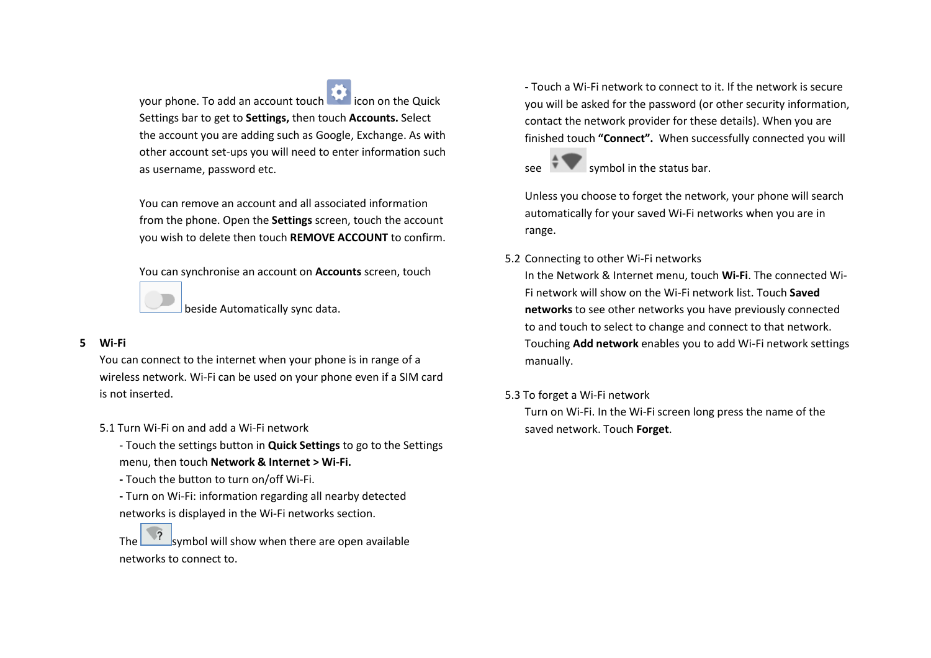your phone. To add an account touch **in the culture** icon on the Quick Settings bar to get to **Settings,** then touch **Accounts.** Select the account you are adding such as Google, Exchange. As with other account set-ups you will need to enter information such as username, password etc.

You can remove an account and all associated information from the phone. Open the **Settings** screen, touch the account you wish to delete then touch **REMOVE ACCOUNT** to confirm.

You can synchronise an account on **Accounts** screen, touch

beside Automatically sync data.

# **5 Wi-Fi**

You can connect to the internet when your phone is in range of a wireless network. Wi-Fi can be used on your phone even if a SIM card is not inserted.

- 5.1 Turn Wi-Fi on and add a Wi-Fi network
	- Touch the settings button in **Quick Settings** to go to the Settings menu, then touch **Network & Internet > Wi-Fi.**
	- **-** Touch the button to turn on/off Wi-Fi.
	- **-** Turn on Wi-Fi: information regarding all nearby detected networks is displayed in the Wi-Fi networks section.

The symbol will show when there are open available networks to connect to.

**-** Touch a Wi-Fi network to connect to it. If the network is secure you will be asked for the password (or other security information, contact the network provider for these details). When you are finished touch **"Connect".** When successfully connected you will



Unless you choose to forget the network, your phone will search automatically for your saved Wi-Fi networks when you are in range.

# 5.2 Connecting to other Wi-Fi networks

In the Network & Internet menu, touch **Wi-Fi**. The connected Wi-Fi network will show on the Wi-Fi network list. Touch **Saved networks** to see other networks you have previously connected to and touch to select to change and connect to that network. Touching **Add network** enables you to add Wi-Fi network settings manually.

# 5.3 To forget a Wi-Fi network

Turn on Wi-Fi. In the Wi-Fi screen long press the name of the saved network. Touch **Forget**.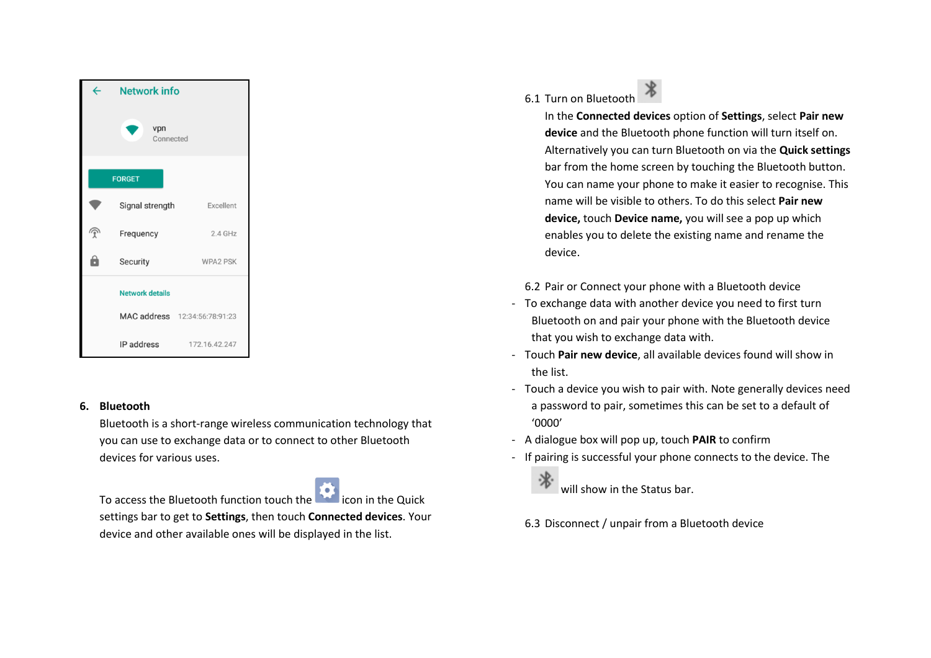

# **6. Bluetooth**

Bluetooth is a short-range wireless communication technology that you can use to exchange data or to connect to other Bluetooth devices for various uses.

To access the Bluetooth function touch the **interest in the Quick** settings bar to get to **Settings**, then touch **Connected devices**. Your device and other available ones will be displayed in the list.

6.1 Turn on Bluetooth

In the **Connected devices** option of **Settings**, select **Pair new device** and the Bluetooth phone function will turn itself on. Alternatively you can turn Bluetooth on via the **Quick settings** bar from the home screen by touching the Bluetooth button. You can name your phone to make it easier to recognise. This name will be visible to others. To do this select **Pair new device,** touch **Device name,** you will see a pop up which enables you to delete the existing name and rename the device.

6.2 Pair or Connect your phone with a Bluetooth device

- To exchange data with another device you need to first turn Bluetooth on and pair your phone with the Bluetooth device that you wish to exchange data with.
- Touch **Pair new device**, all available devices found will show in the list.
- Touch a device you wish to pair with. Note generally devices need a password to pair, sometimes this can be set to a default of '0000'
- A dialogue box will pop up, touch **PAIR** to confirm
- If pairing is successful your phone connects to the device. The
	- 洮 will show in the Status bar.
	- 6.3 Disconnect / unpair from a Bluetooth device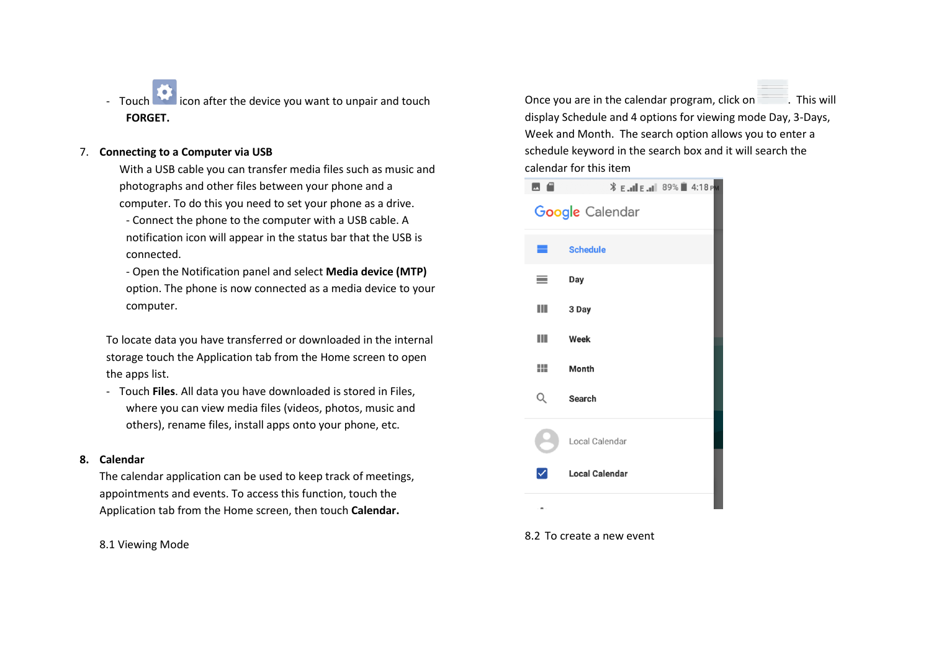- Touch it is icon after the device you want to unpair and touch **FORGET.**

## 7. **Connecting to a Computer via USB**

With a USB cable you can transfer media files such as music and photographs and other files between your phone and a computer. To do this you need to set your phone as a drive.

- Connect the phone to the computer with a USB cable. A notification icon will appear in the status bar that the USB is connected.

- Open the Notification panel and select **Media device (MTP)** option. The phone is now connected as a media device to your computer.

To locate data you have transferred or downloaded in the internal storage touch the Application tab from the Home screen to open the apps list.

- Touch **Files**. All data you have downloaded is stored in Files, where you can view media files (videos, photos, music and others), rename files, install apps onto your phone, etc.

#### **8. Calendar**

The calendar application can be used to keep track of meetings, appointments and events. To access this function, touch the Application tab from the Home screen, then touch **Calendar.**

8.1 Viewing Mode

Once you are in the calendar program, click on . This will display Schedule and 4 options for viewing mode Day, 3-Days, Week and Month. The search option allows you to enter a schedule keyword in the search box and it will search the calendar for this item



#### 8.2 To create a new event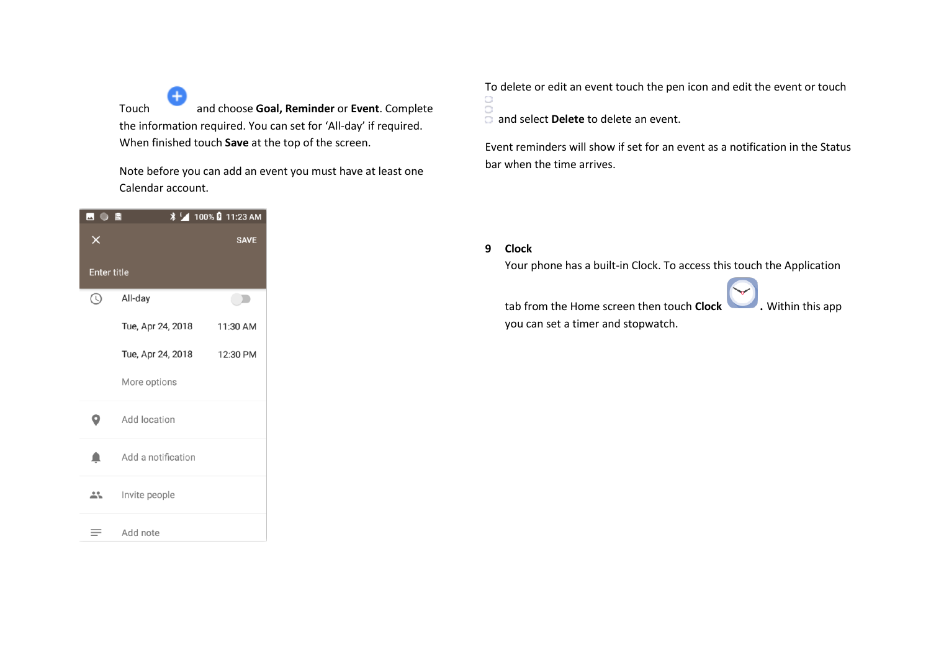Touch and choose **Goal, Reminder** or **Event**. Complete the information required. You can set for 'All-day' if required. When finished touch **Save** at the top of the screen.

Note before you can add an event you must have at least one Calendar account.

| 困◑▣                |                    | <b><i>\</i> F</b> 100% <b>D</b> 11:23 AM |  |  |  |
|--------------------|--------------------|------------------------------------------|--|--|--|
| ×                  |                    | <b>SAVE</b>                              |  |  |  |
| <b>Enter title</b> |                    |                                          |  |  |  |
| $_{\odot}$         | All-day            |                                          |  |  |  |
|                    | Tue, Apr 24, 2018  | 11:30 AM                                 |  |  |  |
|                    | Tue, Apr 24, 2018  | 12:30 PM                                 |  |  |  |
|                    | More options       |                                          |  |  |  |
| О                  | Add location       |                                          |  |  |  |
| n                  | Add a notification |                                          |  |  |  |
|                    | Invite people      |                                          |  |  |  |
|                    | Add note           |                                          |  |  |  |

To delete or edit an event touch the pen icon and edit the event or touch  $\bigcirc$ 

and select **Delete** to delete an event.

Event reminders will show if set for an event as a notification in the Status bar when the time arrives.

**9 Clock**

Your phone has a built-in Clock. To access this touch the Application



tab from the Home screen then touch **Clock .** Within this app

you can set a timer and stopwatch.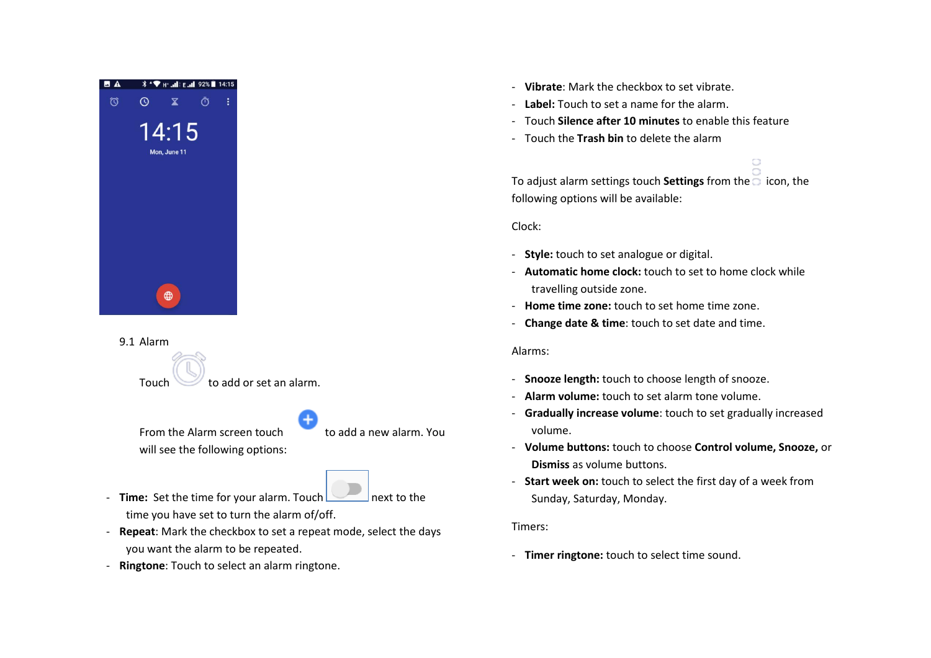

9.1 Alarm

Touch to add or set an alarm.

From the Alarm screen touch to add a new alarm. You will see the following options:

- **Time:** Set the time for your alarm. Touch next to the time you have set to turn the alarm of/off.
- **Repeat**: Mark the checkbox to set a repeat mode, select the days you want the alarm to be repeated.
- **Ringtone**: Touch to select an alarm ringtone.
- **Vibrate**: Mark the checkbox to set vibrate.
- **Label:** Touch to set a name for the alarm.
- Touch **Silence after 10 minutes** to enable this feature
- Touch the **Trash bin** to delete the alarm

To adjust alarm settings touch **Settings** from the  $\overline{\Box}$  icon, the following options will be available:

 $\bigcirc$ 

Clock:

- **Style:** touch to set analogue or digital.
- **Automatic home clock:** touch to set to home clock while travelling outside zone.
- **Home time zone:** touch to set home time zone.
- **Change date & time**: touch to set date and time.

# Alarms:

- **Snooze length:** touch to choose length of snooze.
- **Alarm volume:** touch to set alarm tone volume.
- **Gradually increase volume**: touch to set gradually increased volume.
- **Volume buttons:** touch to choose **Control volume, Snooze,** or **Dismiss** as volume buttons.
- **Start week on:** touch to select the first day of a week from Sunday, Saturday, Monday.

# Timers:

- **Timer ringtone:** touch to select time sound.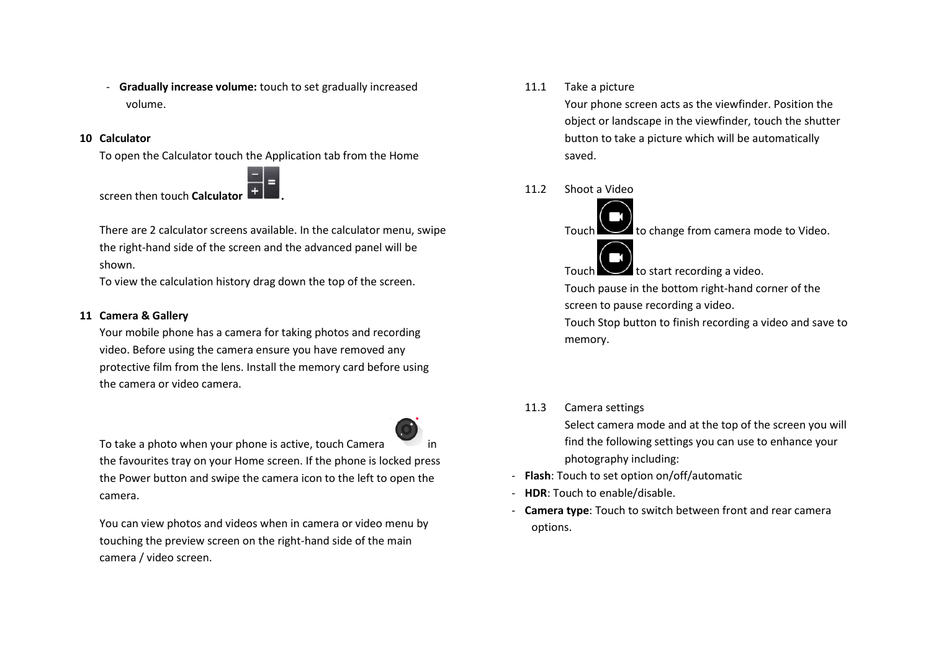- **Gradually increase volume:** touch to set gradually increased volume.

#### **10 Calculator**

To open the Calculator touch the Application tab from the Home



screen then touch **Calculator .** 

There are 2 calculator screens available. In the calculator menu, swipe the right-hand side of the screen and the advanced panel will be shown.

To view the calculation history drag down the top of the screen.

## **11 Camera & Gallery**

Your mobile phone has a camera for taking photos and recording video. Before using the camera ensure you have removed any protective film from the lens. Install the memory card before using the camera or video camera.



To take a photo when your phone is active, touch Camera the favourites tray on your Home screen. If the phone is locked press the Power button and swipe the camera icon to the left to open the camera.

You can view photos and videos when in camera or video menu by touching the preview screen on the right-hand side of the main camera / video screen.

#### 11.1 Take a picture

Your phone screen acts as the viewfinder. Position the object or landscape in the viewfinder, touch the shutter button to take a picture which will be automatically saved.

11.2 Shoot a Video

 $\angle$  to change from camera mode to Video.

Touch  $\cup$  to start recording a video.

Touch pause in the bottom right-hand corner of the screen to pause recording a video.

Touch Stop button to finish recording a video and save to memory.

## 11.3 Camera settings

Select camera mode and at the top of the screen you will find the following settings you can use to enhance your photography including:

- **Flash**: Touch to set option on/off/automatic
- **HDR**: Touch to enable/disable.
- **Camera type**: Touch to switch between front and rear camera options.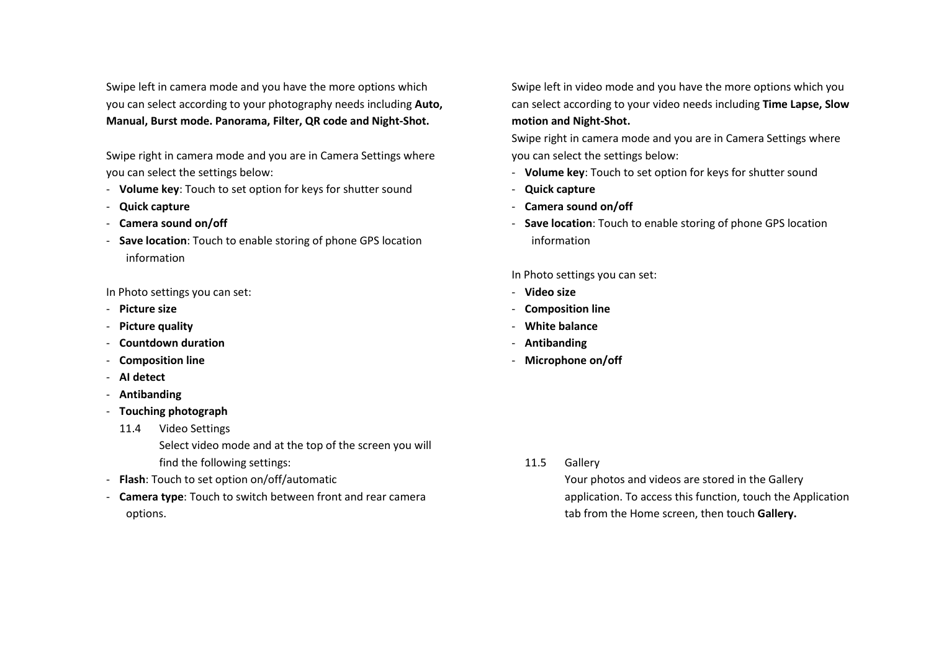Swipe left in camera mode and you have the more options which you can select according to your photography needs including **Auto, Manual, Burst mode. Panorama, Filter, QR code and Night-Shot.**

Swipe right in camera mode and you are in Camera Settings where you can select the settings below:

- **Volume key**: Touch to set option for keys for shutter sound
- **Quick capture**
- **Camera sound on/off**
- **Save location**: Touch to enable storing of phone GPS location information

In Photo settings you can set:

- **Picture size**
- **Picture quality**
- **Countdown duration**
- **Composition line**
- **AI detect**
- **Antibanding**
- **Touching photograph** 
	- 11.4 Video Settings

Select video mode and at the top of the screen you will find the following settings:

- **Flash**: Touch to set option on/off/automatic
- **Camera type**: Touch to switch between front and rear camera options.

Swipe left in video mode and you have the more options which you can select according to your video needs including **Time Lapse, Slow motion and Night-Shot.**

Swipe right in camera mode and you are in Camera Settings where you can select the settings below:

- **Volume key**: Touch to set option for keys for shutter sound
- **Quick capture**
- **Camera sound on/off**
- **Save location**: Touch to enable storing of phone GPS location information

In Photo settings you can set:

- **Video size**
- **Composition line**
- **White balance**
- **Antibanding**
- **Microphone on/off**

11.5 Gallery

Your photos and videos are stored in the Gallery application. To access this function, touch the Application tab from the Home screen, then touch **Gallery.**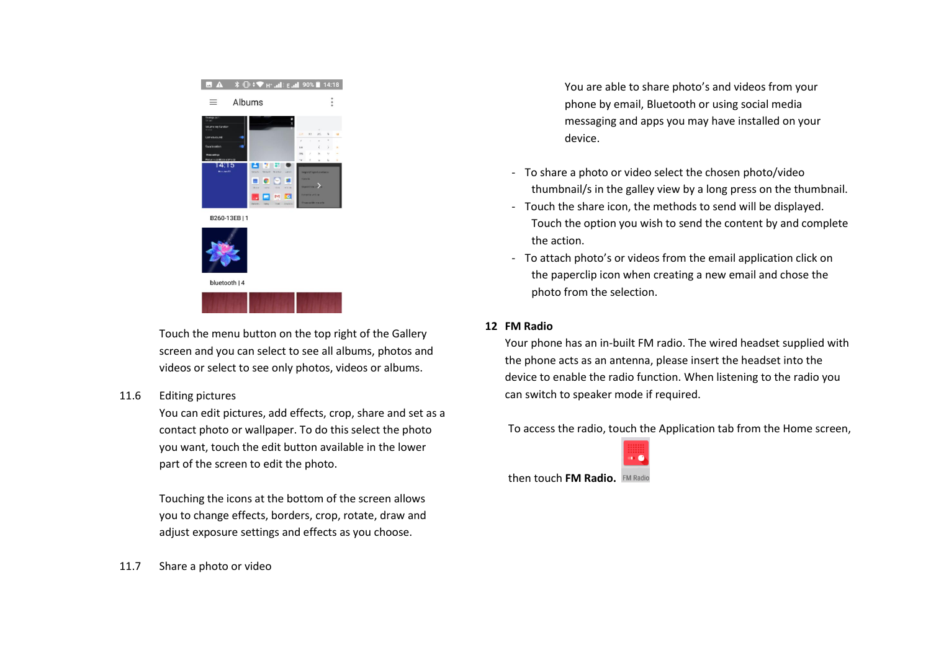

Touch the menu button on the top right of the Gallery screen and you can select to see all albums, photos and videos or select to see only photos, videos or albums.

## 11.6 Editing pictures

You can edit pictures, add effects, crop, share and set as a contact photo or wallpaper. To do this select the photo you want, touch the edit button available in the lower part of the screen to edit the photo.

Touching the icons at the bottom of the screen allows you to change effects, borders, crop, rotate, draw and adjust exposure settings and effects as you choose.

11.7 Share a photo or video

You are able to share photo's and videos from your phone by email, Bluetooth or using social media messaging and apps you may have installed on your device.

- To share a photo or video select the chosen photo/video thumbnail/s in the galley view by a long press on the thumbnail.
- Touch the share icon, the methods to send will be displayed. Touch the option you wish to send the content by and complete the action.
- To attach photo's or videos from the email application click on the paperclip icon when creating a new email and chose the photo from the selection.

## **12 FM Radio**

Your phone has an in-built FM radio. The wired headset supplied with the phone acts as an antenna, please insert the headset into the device to enable the radio function. When listening to the radio you can switch to speaker mode if required.

To access the radio, touch the Application tab from the Home screen,



then touch **FM Radio.**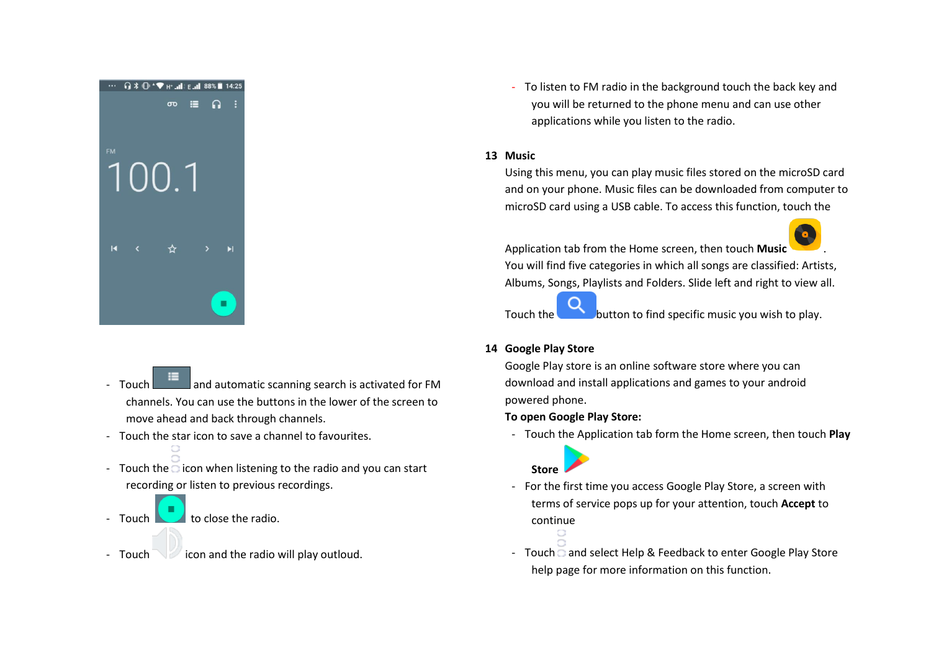

- Touch **and automatic scanning search is activated for FM** channels. You can use the buttons in the lower of the screen to move ahead and back through channels.
- Touch the star icon to save a channel to favourites.
- Touch the  $\overline{\circ}$  icon when listening to the radio and you can start recording or listen to previous recordings.
- $\sim$  to close the radio.
- Touch icon and the radio will play outloud.

- To listen to FM radio in the background touch the back key and you will be returned to the phone menu and can use other applications while you listen to the radio.

## **13 Music**

Using this menu, you can play music files stored on the microSD card and on your phone. Music files can be downloaded from computer to microSD card using a USB cable. To access this function, touch the

Application tab from the Home screen, then touch **Music** . You will find five categories in which all songs are classified: Artists, Albums, Songs, Playlists and Folders. Slide left and right to view all.

Touch the **button to find specific music you wish to play.** 

**14 Google Play Store**

Google Play store is an online software store where you can download and install applications and games to your android powered phone.

# **To open Google Play Store:**

- Touch the Application tab form the Home screen, then touch **Play** 



- For the first time you access Google Play Store, a screen with terms of service pops up for your attention, touch **Accept** to continue
- Touch  $\bar{a}$  and select Help & Feedback to enter Google Play Store help page for more information on this function.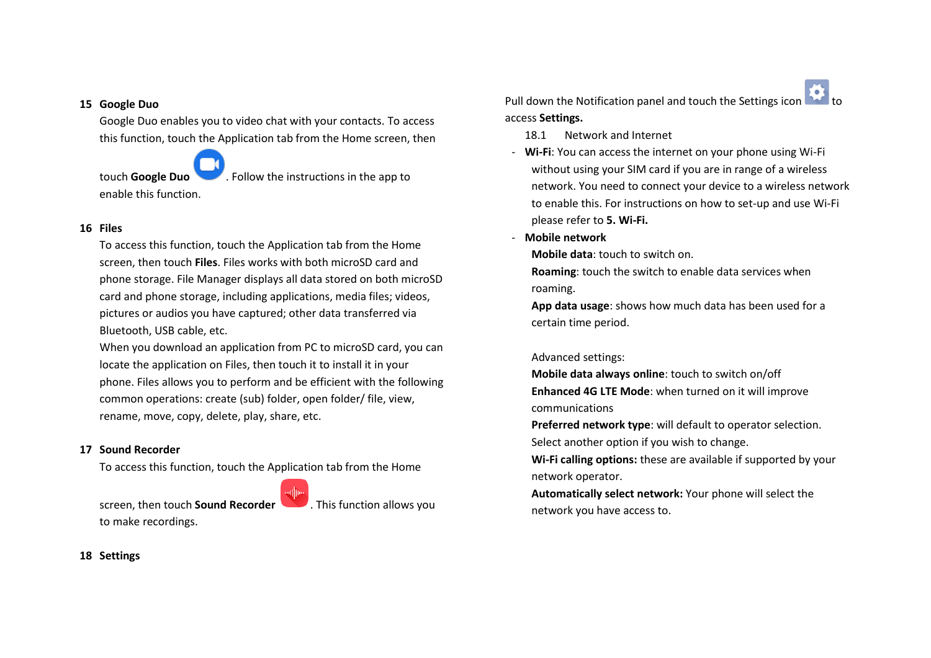## **15 Google Duo**

Google Duo enables you to video chat with your contacts. To access this function, touch the Application tab from the Home screen, then

enable this function.

touch **Google Duo** . Follow the instructions in the app to

## **16 Files**

To access this function, touch the Application tab from the Home screen, then touch **Files**. Files works with both microSD card and phone storage. File Manager displays all data stored on both microSD card and phone storage, including applications, media files; videos, pictures or audios you have captured; other data transferred via Bluetooth, USB cable, etc.

When you download an application from PC to microSD card, you can locate the application on Files, then touch it to install it in your phone. Files allows you to perform and be efficient with the following common operations: create (sub) folder, open folder/ file, view, rename, move, copy, delete, play, share, etc.

## **17 Sound Recorder**

To access this function, touch the Application tab from the Home

screen, then touch **Sound Recorder** . This function allows you to make recordings.

Pull down the Notification panel and touch the Settings icon access **Settings.**

- 18.1 Network and Internet
- **Wi-Fi**: You can access the internet on your phone using Wi-Fi without using your SIM card if you are in range of a wireless network. You need to connect your device to a wireless network to enable this. For instructions on how to set-up and use Wi-Fi please refer to **5. Wi-Fi.**
- **Mobile network**

**Mobile data**: touch to switch on.

**Roaming**: touch the switch to enable data services when roaming.

**App data usage**: shows how much data has been used for a certain time period.

## Advanced settings:

**Mobile data always online**: touch to switch on/off **Enhanced 4G LTE Mode**: when turned on it will improve communications

**Preferred network type**: will default to operator selection.

Select another option if you wish to change.

**Wi-Fi calling options:** these are available if supported by your network operator.

**Automatically select network:** Your phone will select the network you have access to.

## **18 Settings**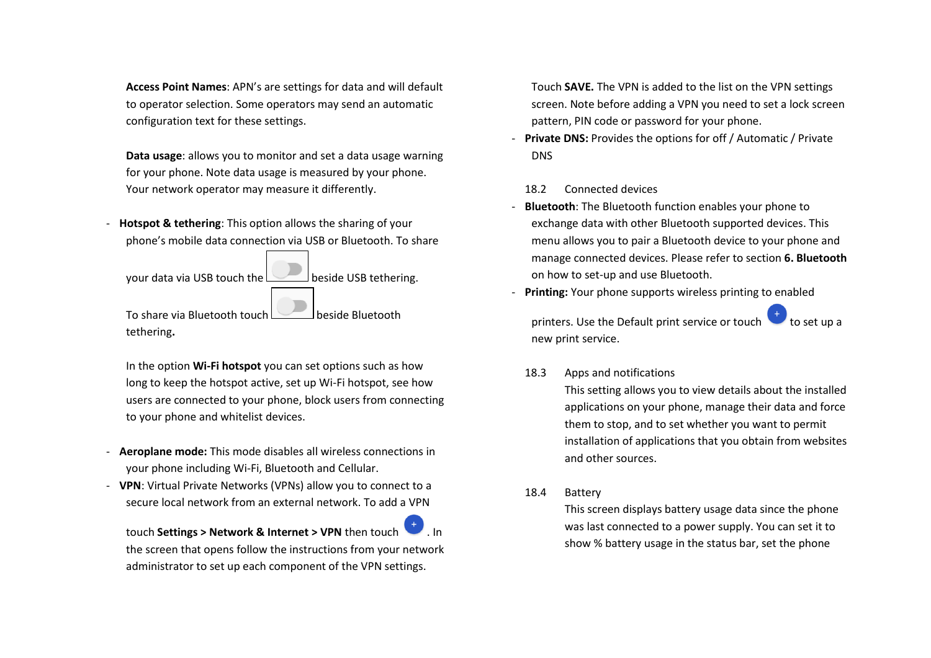**Access Point Names**: APN's are settings for data and will default to operator selection. Some operators may send an automatic configuration text for these settings.

**Data usage**: allows you to monitor and set a data usage warning for your phone. Note data usage is measured by your phone. Your network operator may measure it differently.

**Hotspot & tethering:** This option allows the sharing of your phone's mobile data connection via USB or Bluetooth. To share

your data via USB touch the **beside USB tethering**.

To share via Bluetooth touch **beside Bluetooth** tethering**.** 

In the option **Wi-Fi hotspot** you can set options such as how long to keep the hotspot active, set up Wi-Fi hotspot, see how users are connected to your phone, block users from connecting to your phone and whitelist devices.

- **Aeroplane mode:** This mode disables all wireless connections in your phone including Wi-Fi, Bluetooth and Cellular.
- **VPN**: Virtual Private Networks (VPNs) allow you to connect to a secure local network from an external network. To add a VPN

touch **Settings > Network & Internet > VPN** then touch the screen that opens follow the instructions from your network administrator to set up each component of the VPN settings.

Touch **SAVE.** The VPN is added to the list on the VPN settings screen. Note before adding a VPN you need to set a lock screen pattern, PIN code or password for your phone.

**Private DNS:** Provides the options for off / Automatic / Private **DNS** 

## 18.2 Connected devices

- **Bluetooth:** The Bluetooth function enables your phone to exchange data with other Bluetooth supported devices. This menu allows you to pair a Bluetooth device to your phone and manage connected devices. Please refer to section **6. Bluetooth** on how to set-up and use Bluetooth.
- **Printing:** Your phone supports wireless printing to enabled

printers. Use the Default print service or touch new print service.

# 18.3 Apps and notifications

This setting allows you to view details about the installed applications on your phone, manage their data and force them to stop, and to set whether you want to permit installation of applications that you obtain from websites and other sources.

18.4 Battery

This screen displays battery usage data since the phone was last connected to a power supply. You can set it to show % battery usage in the status bar, set the phone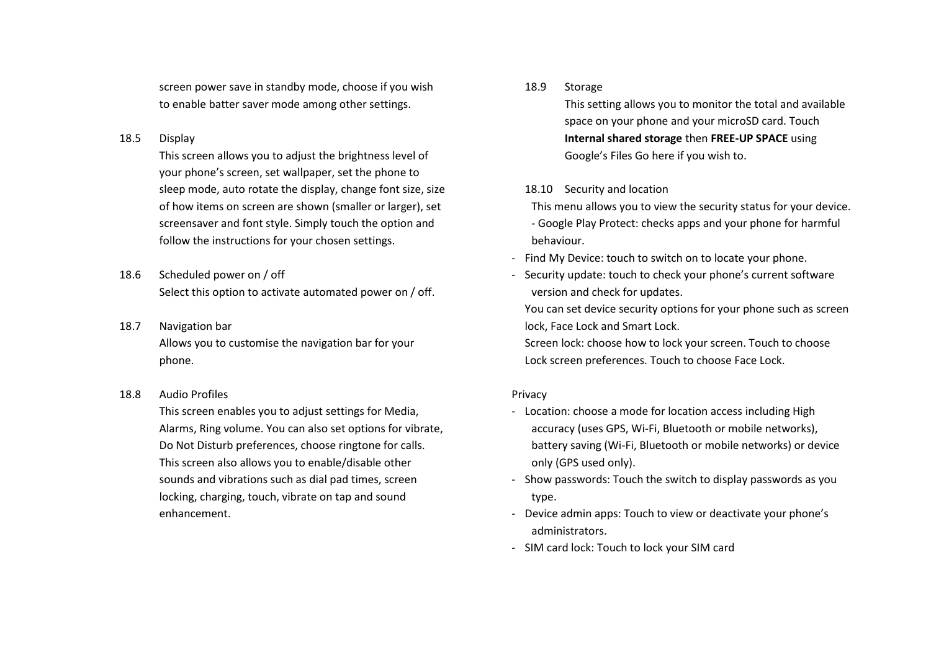screen power save in standby mode, choose if you wish to enable batter saver mode among other settings.

## 18.5 Display

This screen allows you to adjust the brightness level of your phone's screen, set wallpaper, set the phone to sleep mode, auto rotate the display, change font size, size of how items on screen are shown (smaller or larger), set screensaver and font style. Simply touch the option and follow the instructions for your chosen settings.

- 18.6 Scheduled power on / off Select this option to activate automated power on / off.
- 18.7 Navigation bar Allows you to customise the navigation bar for your phone.
- 18.8 Audio Profiles

This screen enables you to adjust settings for Media, Alarms, Ring volume. You can also set options for vibrate, Do Not Disturb preferences, choose ringtone for calls. This screen also allows you to enable/disable other sounds and vibrations such as dial pad times, screen locking, charging, touch, vibrate on tap and sound enhancement.

## 18.9 Storage

This setting allows you to monitor the total and available space on your phone and your microSD card. Touch **Internal shared storage** then **FREE-UP SPACE** using Google's Files Go here if you wish to.

# 18.10 Security and location

This menu allows you to view the security status for your device.

- Google Play Protect: checks apps and your phone for harmful behaviour.

- Find My Device: touch to switch on to locate your phone.
- Security update: touch to check your phone's current software version and check for updates.

You can set device security options for your phone such as screen lock, Face Lock and Smart Lock.

Screen lock: choose how to lock your screen. Touch to choose Lock screen preferences. Touch to choose Face Lock.

# Privacy

- Location: choose a mode for location access including High accuracy (uses GPS, Wi-Fi, Bluetooth or mobile networks), battery saving (Wi-Fi, Bluetooth or mobile networks) or device only (GPS used only).
- Show passwords: Touch the switch to display passwords as you type.
- Device admin apps: Touch to view or deactivate your phone's administrators.
- SIM card lock: Touch to lock your SIM card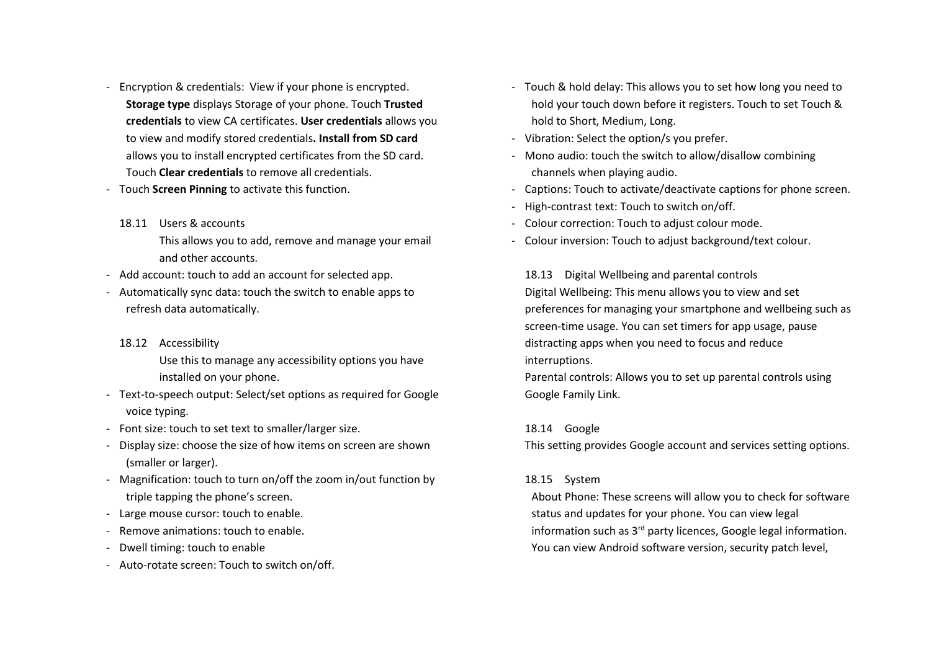- Encryption & credentials: View if your phone is encrypted. **Storage type** displays Storage of your phone. Touch **Trusted credentials** to view CA certificates. **User credentials** allows you to view and modify stored credentials**. Install from SD card** allows you to install encrypted certificates from the SD card. Touch **Clear credentials** to remove all credentials.
- Touch **Screen Pinning** to activate this function.
	- 18.11 Users & accounts This allows you to add, remove and manage your email and other accounts.
- Add account: touch to add an account for selected app.
- Automatically sync data: touch the switch to enable apps to refresh data automatically.
	- 18.12 Accessibility

Use this to manage any accessibility options you have installed on your phone.

- Text-to-speech output: Select/set options as required for Google voice typing.
- Font size: touch to set text to smaller/larger size.
- Display size: choose the size of how items on screen are shown (smaller or larger).
- Magnification: touch to turn on/off the zoom in/out function by triple tapping the phone's screen.
- Large mouse cursor: touch to enable.
- Remove animations: touch to enable.
- Dwell timing: touch to enable
- Auto-rotate screen: Touch to switch on/off.
- Touch & hold delay: This allows you to set how long you need to hold your touch down before it registers. Touch to set Touch & hold to Short, Medium, Long.
- Vibration: Select the option/s you prefer.
- Mono audio: touch the switch to allow/disallow combining channels when playing audio.
- Captions: Touch to activate/deactivate captions for phone screen.
- High-contrast text: Touch to switch on/off.
- Colour correction: Touch to adjust colour mode.
- Colour inversion: Touch to adjust background/text colour.

18.13 Digital Wellbeing and parental controls Digital Wellbeing: This menu allows you to view and set preferences for managing your smartphone and wellbeing such as screen-time usage. You can set timers for app usage, pause distracting apps when you need to focus and reduce interruptions.

Parental controls: Allows you to set up parental controls using Google Family Link.

#### 18.14 Google

This setting provides Google account and services setting options.

#### 18.15 System

About Phone: These screens will allow you to check for software status and updates for your phone. You can view legal information such as 3<sup>rd</sup> party licences, Google legal information. You can view Android software version, security patch level,